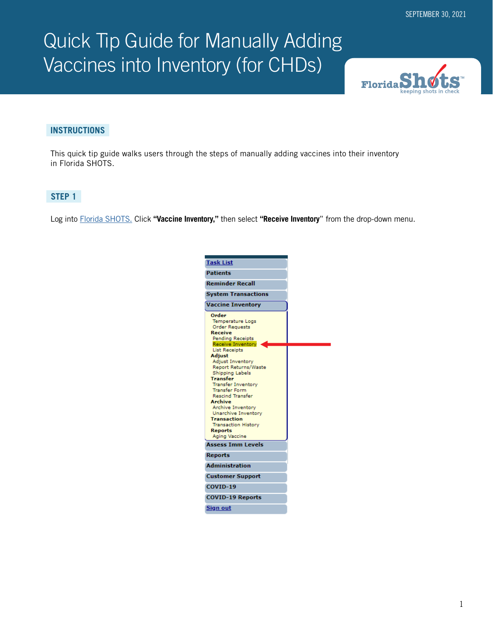# Quick Tip Guide for Manually Adding Vaccines into Inventory (for CHDs)



#### **INSTRUCTIONS**

This quick tip guide walks users through the steps of manually adding vaccines into their inventory in Florida SHOTS.

## **STEP 1**

Log into [Florida SHOTS.](https://www.flshotsusers.com/) Click **"Vaccine Inventory,"** then select **"Receive Inventory**" from the drop-down menu.

| <b>Task List</b>                                                                                                                                                                                                                                                                                                          |  |
|---------------------------------------------------------------------------------------------------------------------------------------------------------------------------------------------------------------------------------------------------------------------------------------------------------------------------|--|
| <b>Patients</b>                                                                                                                                                                                                                                                                                                           |  |
| <b>Reminder Recall</b>                                                                                                                                                                                                                                                                                                    |  |
| <b>System Transactions</b>                                                                                                                                                                                                                                                                                                |  |
| <b>Vaccine Inventory</b>                                                                                                                                                                                                                                                                                                  |  |
| Order<br><b>Temperature Logs</b><br><b>Order Requests</b><br><b>Receive</b><br><b>Pending Receipts</b><br>Receive Inventory                                                                                                                                                                                               |  |
| <b>List Receipts</b><br>Adiust<br><b>Adjust Inventory</b><br><b>Report Returns/Waste</b><br>Shipping Labels<br>Transfer<br><b>Transfer Inventory</b><br><b>Transfer Form</b><br><b>Rescind Transfer</b><br>Archive<br><b>Archive Inventory</b><br>Unarchive Inventory<br><b>Transaction</b><br><b>Transaction History</b> |  |
| <b>Reports</b><br><b>Aging Vaccine</b>                                                                                                                                                                                                                                                                                    |  |
| <b>Assess Imm Levels</b>                                                                                                                                                                                                                                                                                                  |  |
| <b>Reports</b>                                                                                                                                                                                                                                                                                                            |  |
| <b>Administration</b>                                                                                                                                                                                                                                                                                                     |  |
| <b>Customer Support</b>                                                                                                                                                                                                                                                                                                   |  |
| COVID-19                                                                                                                                                                                                                                                                                                                  |  |
| <b>COVID-19 Reports</b>                                                                                                                                                                                                                                                                                                   |  |
| Sign out                                                                                                                                                                                                                                                                                                                  |  |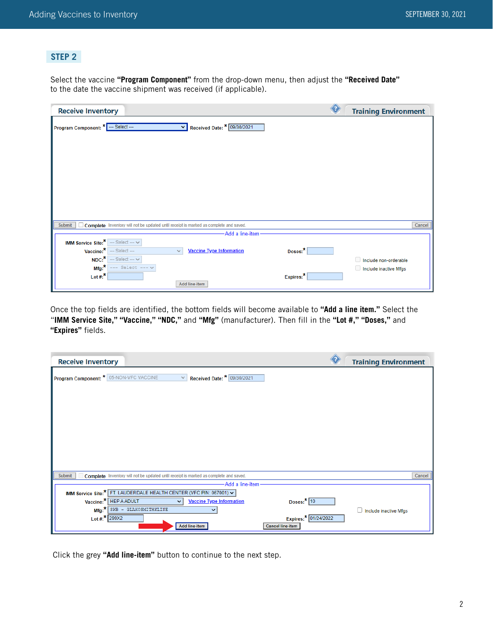## **STEP 2**

Select the vaccine **"Program Component"** from the drop-down menu, then adjust the **"Received Date"** to the date the vaccine shipment was received (if applicable).

| <b>Receive Inventory</b>                                                                          |           | <b>Training Environment</b> |        |
|---------------------------------------------------------------------------------------------------|-----------|-----------------------------|--------|
| Received Date: * 09/30/2021<br>Program Component: * --- Select ---<br>◡                           |           |                             |        |
|                                                                                                   |           |                             |        |
|                                                                                                   |           |                             |        |
|                                                                                                   |           |                             |        |
|                                                                                                   |           |                             |        |
|                                                                                                   |           |                             |        |
|                                                                                                   |           |                             |        |
|                                                                                                   |           |                             |        |
| □ Complete Inventory will not be updated until receipt is marked as complete and saved.<br>Submit |           |                             | Cancel |
| -Add a line-item                                                                                  |           |                             |        |
| IMM Service Site: $*$ --- Select --- $\vee$                                                       |           |                             |        |
| $Vaccine:$ $\leftarrow$ Select ---<br><b>Vaccine Type Information</b><br>$\checkmark$             | Doses:*   |                             |        |
| $NDC:$ $\star$ -- Select --- $\vee$                                                               |           | Include non-orderable       |        |
| $Mfg:$ --- Select --- $\vee$                                                                      |           | Include inactive Mfgs       |        |
| Lot #: $*$                                                                                        | Expires:* |                             |        |
| Add line-item                                                                                     |           |                             |        |

Once the top fields are identified, the bottom fields will become available to **"Add a line item."** Select the "**IMM Service Site," "Vaccine," "NDC,"** and **"Mfg"** (manufacturer). Then fill in the **"Lot #," "Doses,"** and **"Expires"** fields.

| <b>Receive Inventory</b>                                                                               | <b>Training Environment</b> |
|--------------------------------------------------------------------------------------------------------|-----------------------------|
| Program Component: * 05-NON-VFC VACCINE<br>$\vee$ Received Date: * 09/30/2021                          |                             |
|                                                                                                        |                             |
|                                                                                                        |                             |
|                                                                                                        |                             |
|                                                                                                        |                             |
|                                                                                                        |                             |
| Complete Inventory will not be updated until receipt is marked as complete and saved.<br><b>Submit</b> | Cancel                      |
| -Add a line-item-                                                                                      |                             |
| IMM Service Site:* FT. LAUDERDALE HEALTH CENTER (VFC PIN: 067001) v                                    |                             |
| Vaccine:* HEP A ADULT<br><b>Vaccine Type Information</b><br>Doses: $*$ 10<br>$\checkmark$              |                             |
| Mfg:* SKB - GLAXOSMITHKLINE                                                                            | Include inactive Mfgs       |
| Lot #: $*$ 299X2<br>Expires:* 01/24/2022<br><b>Cancel line-item</b><br>Add line-item                   |                             |

Click the grey **"Add line-item"** button to continue to the next step.